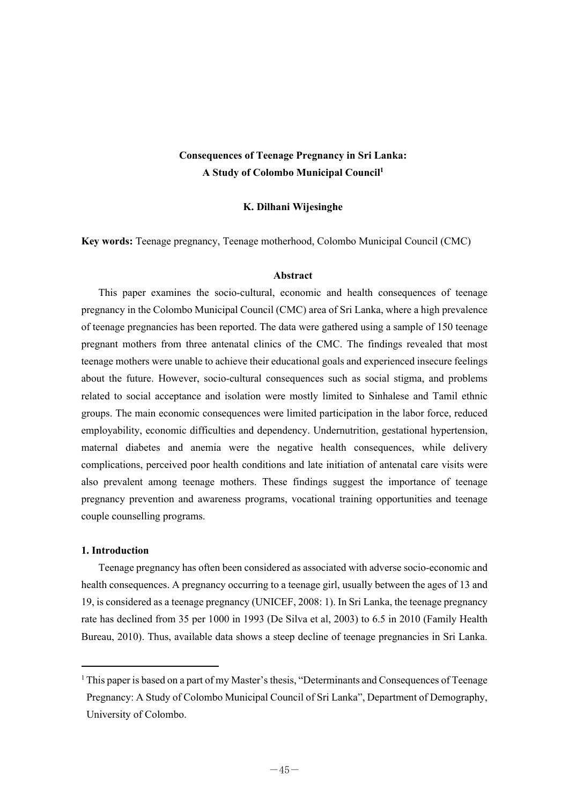# **Consequences of Teenage Pregnancy in Sri Lanka: A Study of Colombo Municipal Council1**

## **K. Dilhani Wijesinghe**

**Key words:** Teenage pregnancy, Teenage motherhood, Colombo Municipal Council (CMC)

#### **Abstract**

This paper examines the socio-cultural, economic and health consequences of teenage pregnancy in the Colombo Municipal Council (CMC) area of Sri Lanka, where a high prevalence of teenage pregnancies has been reported. The data were gathered using a sample of 150 teenage pregnant mothers from three antenatal clinics of the CMC. The findings revealed that most teenage mothers were unable to achieve their educational goals and experienced insecure feelings about the future. However, socio-cultural consequences such as social stigma, and problems related to social acceptance and isolation were mostly limited to Sinhalese and Tamil ethnic groups. The main economic consequences were limited participation in the labor force, reduced employability, economic difficulties and dependency. Undernutrition, gestational hypertension, maternal diabetes and anemia were the negative health consequences, while delivery complications, perceived poor health conditions and late initiation of antenatal care visits were also prevalent among teenage mothers. These findings suggest the importance of teenage pregnancy prevention and awareness programs, vocational training opportunities and teenage couple counselling programs.

## **1. Introduction**

Teenage pregnancy has often been considered as associated with adverse socio-economic and health consequences. A pregnancy occurring to a teenage girl, usually between the ages of 13 and 19, is considered as a teenage pregnancy (UNICEF, 2008: 1). In Sri Lanka, the teenage pregnancy rate has declined from 35 per 1000 in 1993 (De Silva et al, 2003) to 6.5 in 2010 (Family Health Bureau, 2010). Thus, available data shows a steep decline of teenage pregnancies in Sri Lanka.

<sup>&</sup>lt;sup>1</sup> This paper is based on a part of my Master's thesis, "Determinants and Consequences of Teenage Pregnancy: A Study of Colombo Municipal Council of Sri Lanka", Department of Demography, University of Colombo.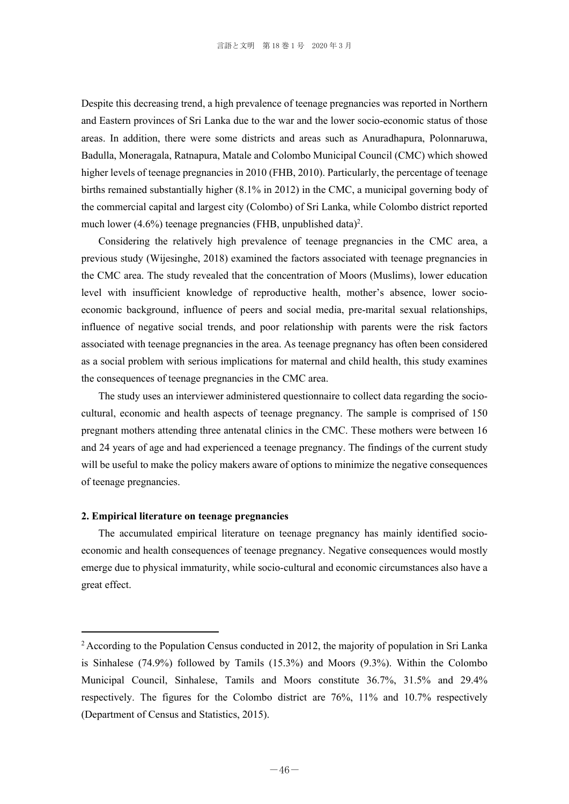Despite this decreasing trend, a high prevalence of teenage pregnancies was reported in Northern and Eastern provinces of Sri Lanka due to the war and the lower socio-economic status of those areas. In addition, there were some districts and areas such as Anuradhapura, Polonnaruwa, Badulla, Moneragala, Ratnapura, Matale and Colombo Municipal Council (CMC) which showed higher levels of teenage pregnancies in 2010 (FHB, 2010). Particularly, the percentage of teenage births remained substantially higher (8.1% in 2012) in the CMC, a municipal governing body of the commercial capital and largest city (Colombo) of Sri Lanka, while Colombo district reported much lower (4.6%) teenage pregnancies (FHB, unpublished data)<sup>2</sup>.

Considering the relatively high prevalence of teenage pregnancies in the CMC area, a previous study (Wijesinghe, 2018) examined the factors associated with teenage pregnancies in the CMC area. The study revealed that the concentration of Moors (Muslims), lower education level with insufficient knowledge of reproductive health, mother's absence, lower socioeconomic background, influence of peers and social media, pre-marital sexual relationships, influence of negative social trends, and poor relationship with parents were the risk factors associated with teenage pregnancies in the area. As teenage pregnancy has often been considered as a social problem with serious implications for maternal and child health, this study examines the consequences of teenage pregnancies in the CMC area.

The study uses an interviewer administered questionnaire to collect data regarding the sociocultural, economic and health aspects of teenage pregnancy. The sample is comprised of 150 pregnant mothers attending three antenatal clinics in the CMC. These mothers were between 16 and 24 years of age and had experienced a teenage pregnancy. The findings of the current study will be useful to make the policy makers aware of options to minimize the negative consequences of teenage pregnancies.

### **2. Empirical literature on teenage pregnancies**

The accumulated empirical literature on teenage pregnancy has mainly identified socioeconomic and health consequences of teenage pregnancy. Negative consequences would mostly emerge due to physical immaturity, while socio-cultural and economic circumstances also have a great effect.

<sup>&</sup>lt;sup>2</sup> According to the Population Census conducted in 2012, the majority of population in Sri Lanka is Sinhalese (74.9%) followed by Tamils (15.3%) and Moors (9.3%). Within the Colombo Municipal Council, Sinhalese, Tamils and Moors constitute 36.7%, 31.5% and 29.4% respectively. The figures for the Colombo district are 76%, 11% and 10.7% respectively (Department of Census and Statistics, 2015).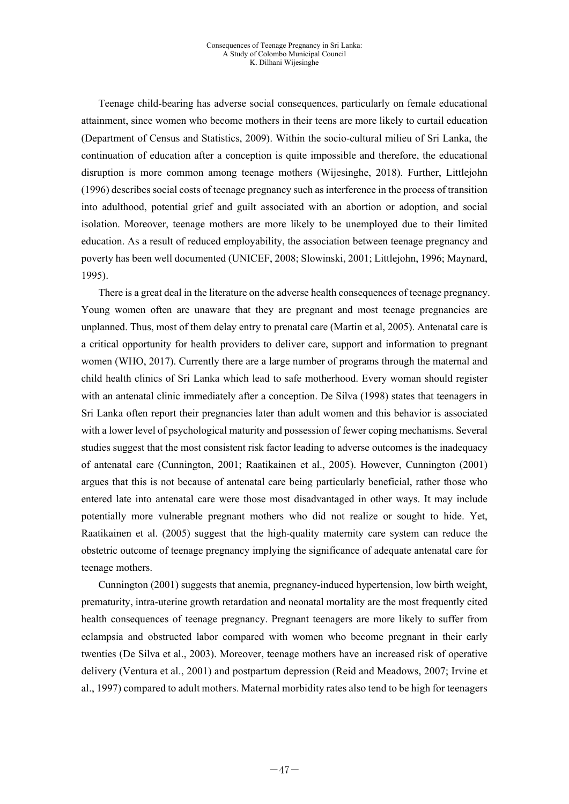Teenage child-bearing has adverse social consequences, particularly on female educational attainment, since women who become mothers in their teens are more likely to curtail education (Department of Census and Statistics, 2009). Within the socio-cultural milieu of Sri Lanka, the continuation of education after a conception is quite impossible and therefore, the educational disruption is more common among teenage mothers (Wijesinghe, 2018). Further, Littlejohn (1996) describes social costs of teenage pregnancy such as interference in the process of transition into adulthood, potential grief and guilt associated with an abortion or adoption, and social isolation. Moreover, teenage mothers are more likely to be unemployed due to their limited education. As a result of reduced employability, the association between teenage pregnancy and poverty has been well documented (UNICEF, 2008; Slowinski, 2001; Littlejohn, 1996; Maynard, 1995).

There is a great deal in the literature on the adverse health consequences of teenage pregnancy. Young women often are unaware that they are pregnant and most teenage pregnancies are unplanned. Thus, most of them delay entry to prenatal care (Martin et al, 2005). Antenatal care is a critical opportunity for health providers to deliver care, support and information to pregnant women (WHO, 2017). Currently there are a large number of programs through the maternal and child health clinics of Sri Lanka which lead to safe motherhood. Every woman should register with an antenatal clinic immediately after a conception. De Silva (1998) states that teenagers in Sri Lanka often report their pregnancies later than adult women and this behavior is associated with a lower level of psychological maturity and possession of fewer coping mechanisms. Several studies suggest that the most consistent risk factor leading to adverse outcomes is the inadequacy of antenatal care (Cunnington, 2001; Raatikainen et al., 2005). However, Cunnington (2001) argues that this is not because of antenatal care being particularly beneficial, rather those who entered late into antenatal care were those most disadvantaged in other ways. It may include potentially more vulnerable pregnant mothers who did not realize or sought to hide. Yet, Raatikainen et al. (2005) suggest that the high-quality maternity care system can reduce the obstetric outcome of teenage pregnancy implying the significance of adequate antenatal care for teenage mothers.

Cunnington (2001) suggests that anemia, pregnancy-induced hypertension, low birth weight, prematurity, intra-uterine growth retardation and neonatal mortality are the most frequently cited health consequences of teenage pregnancy. Pregnant teenagers are more likely to suffer from eclampsia and obstructed labor compared with women who become pregnant in their early twenties (De Silva et al., 2003). Moreover, teenage mothers have an increased risk of operative delivery (Ventura et al., 2001) and postpartum depression (Reid and Meadows, 2007; Irvine et al., 1997) compared to adult mothers. Maternal morbidity rates also tend to be high for teenagers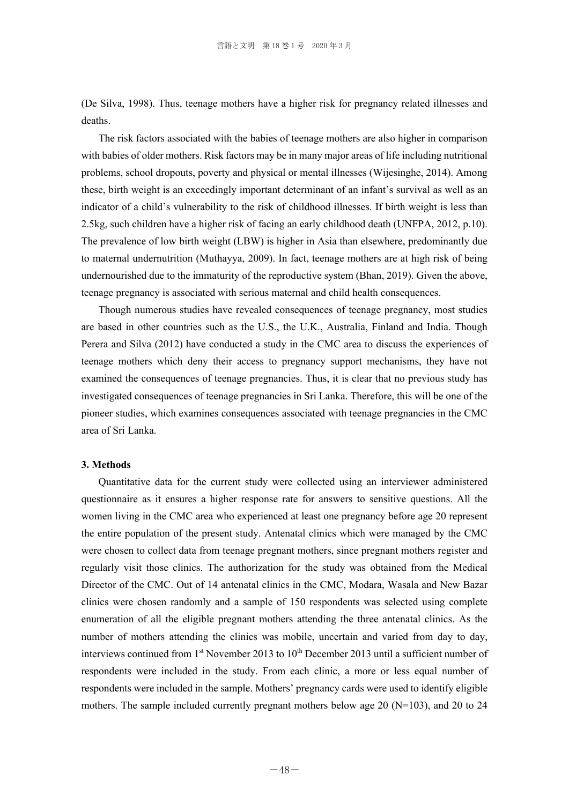(De Silva, 1998). Thus, teenage mothers have a higher risk for pregnancy related illnesses and deaths.

The risk factors associated with the babies of teenage mothers are also higher in comparison with babies of older mothers. Risk factors may be in many major areas of life including nutritional problems, school dropouts, poverty and physical or mental illnesses (Wijesinghe, 2014). Among these, birth weight is an exceedingly important determinant of an infant's survival as well as an indicator of a child's vulnerability to the risk of childhood illnesses. If birth weight is less than 2.5kg, such children have a higher risk of facing an early childhood death (UNFPA, 2012, p.10). The prevalence of low birth weight (LBW) is higher in Asia than elsewhere, predominantly due to maternal undernutrition (Muthayya, 2009). In fact, teenage mothers are at high risk of being undernourished due to the immaturity of the reproductive system (Bhan, 2019). Given the above, teenage pregnancy is associated with serious maternal and child health consequences.

Though numerous studies have revealed consequences of teenage pregnancy, most studies are based in other countries such as the U.S., the U.K., Australia, Finland and India. Though Perera and Silva (2012) have conducted a study in the CMC area to discuss the experiences of teenage mothers which deny their access to pregnancy support mechanisms, they have not examined the consequences of teenage pregnancies. Thus, it is clear that no previous study has investigated consequences of teenage pregnancies in Sri Lanka. Therefore, this will be one of the pioneer studies, which examines consequences associated with teenage pregnancies in the CMC area of Sri Lanka.

## **3. Methods**

Quantitative data for the current study were collected using an interviewer administered questionnaire as it ensures a higher response rate for answers to sensitive questions. All the women living in the CMC area who experienced at least one pregnancy before age 20 represent the entire population of the present study. Antenatal clinics which were managed by the CMC were chosen to collect data from teenage pregnant mothers, since pregnant mothers register and regularly visit those clinics. The authorization for the study was obtained from the Medical Director of the CMC. Out of 14 antenatal clinics in the CMC, Modara, Wasala and New Bazar clinics were chosen randomly and a sample of 150 respondents was selected using complete enumeration of all the eligible pregnant mothers attending the three antenatal clinics. As the number of mothers attending the clinics was mobile, uncertain and varied from day to day, interviews continued from  $1<sup>st</sup>$  November 2013 to  $10<sup>th</sup>$  December 2013 until a sufficient number of respondents were included in the study. From each clinic, a more or less equal number of respondents were included in the sample. Mothers' pregnancy cards were used to identify eligible mothers. The sample included currently pregnant mothers below age 20 (N=103), and 20 to 24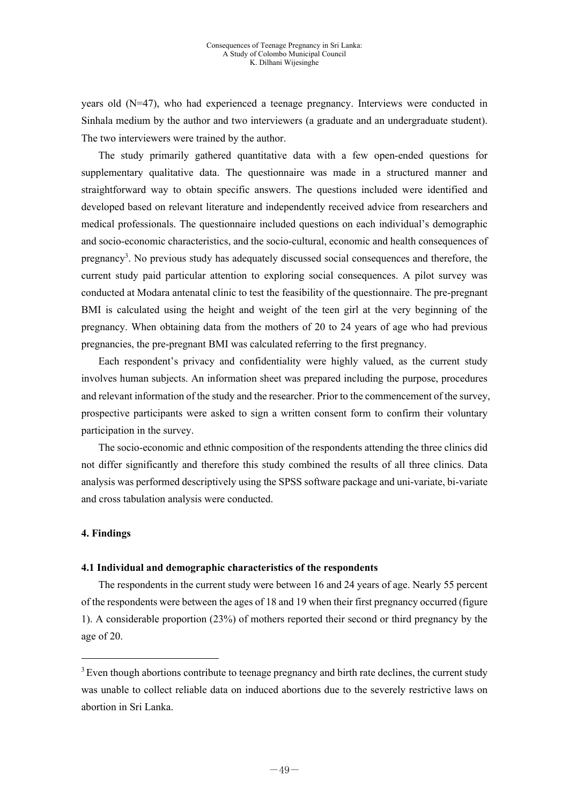years old (N=47), who had experienced a teenage pregnancy. Interviews were conducted in Sinhala medium by the author and two interviewers (a graduate and an undergraduate student). The two interviewers were trained by the author.

The study primarily gathered quantitative data with a few open-ended questions for supplementary qualitative data. The questionnaire was made in a structured manner and straightforward way to obtain specific answers. The questions included were identified and developed based on relevant literature and independently received advice from researchers and medical professionals. The questionnaire included questions on each individual's demographic and socio-economic characteristics, and the socio-cultural, economic and health consequences of pregnancy<sup>3</sup>. No previous study has adequately discussed social consequences and therefore, the current study paid particular attention to exploring social consequences. A pilot survey was conducted at Modara antenatal clinic to test the feasibility of the questionnaire. The pre-pregnant BMI is calculated using the height and weight of the teen girl at the very beginning of the pregnancy. When obtaining data from the mothers of 20 to 24 years of age who had previous pregnancies, the pre-pregnant BMI was calculated referring to the first pregnancy.

Each respondent's privacy and confidentiality were highly valued, as the current study involves human subjects. An information sheet was prepared including the purpose, procedures and relevant information of the study and the researcher. Prior to the commencement of the survey, prospective participants were asked to sign a written consent form to confirm their voluntary participation in the survey.

The socio-economic and ethnic composition of the respondents attending the three clinics did not differ significantly and therefore this study combined the results of all three clinics. Data analysis was performed descriptively using the SPSS software package and uni-variate, bi-variate and cross tabulation analysis were conducted.

#### **4. Findings**

#### **4.1 Individual and demographic characteristics of the respondents**

The respondents in the current study were between 16 and 24 years of age. Nearly 55 percent of the respondents were between the ages of 18 and 19 when their first pregnancy occurred (figure 1). A considerable proportion (23%) of mothers reported their second or third pregnancy by the age of 20.

<sup>&</sup>lt;sup>3</sup> Even though abortions contribute to teenage pregnancy and birth rate declines, the current study was unable to collect reliable data on induced abortions due to the severely restrictive laws on abortion in Sri Lanka.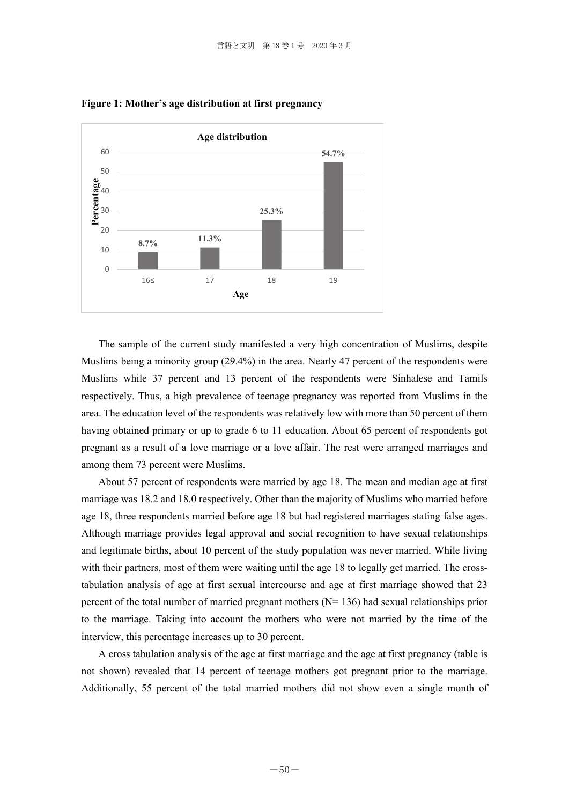



The sample of the current study manifested a very high concentration of Muslims, despite Muslims being a minority group (29.4%) in the area. Nearly 47 percent of the respondents were Muslims while 37 percent and 13 percent of the respondents were Sinhalese and Tamils respectively. Thus, a high prevalence of teenage pregnancy was reported from Muslims in the area. The education level of the respondents was relatively low with more than 50 percent of them having obtained primary or up to grade 6 to 11 education. About 65 percent of respondents got pregnant as a result of a love marriage or a love affair. The rest were arranged marriages and among them 73 percent were Muslims.

About 57 percent of respondents were married by age 18. The mean and median age at first marriage was 18.2 and 18.0 respectively. Other than the majority of Muslims who married before age 18, three respondents married before age 18 but had registered marriages stating false ages. Although marriage provides legal approval and social recognition to have sexual relationships and legitimate births, about 10 percent of the study population was never married. While living with their partners, most of them were waiting until the age 18 to legally get married. The crosstabulation analysis of age at first sexual intercourse and age at first marriage showed that 23 percent of the total number of married pregnant mothers ( $N= 136$ ) had sexual relationships prior to the marriage. Taking into account the mothers who were not married by the time of the interview, this percentage increases up to 30 percent.

A cross tabulation analysis of the age at first marriage and the age at first pregnancy (table is not shown) revealed that 14 percent of teenage mothers got pregnant prior to the marriage. Additionally, 55 percent of the total married mothers did not show even a single month of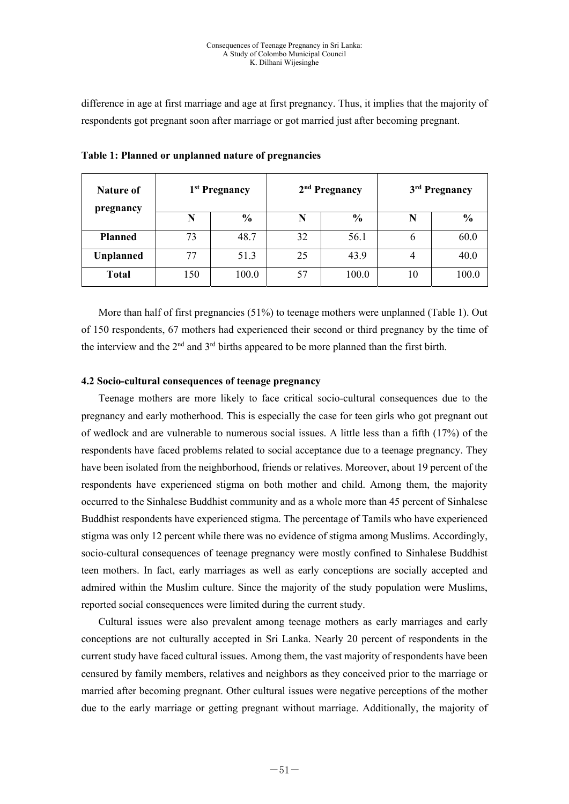difference in age at first marriage and age at first pregnancy. Thus, it implies that the majority of respondents got pregnant soon after marriage or got married just after becoming pregnant.

| Nature of<br>pregnancy | 1 <sup>st</sup> Pregnancy |               | 2 <sup>nd</sup> Pregnancy |               | 3 <sup>rd</sup> Pregnancy |       |
|------------------------|---------------------------|---------------|---------------------------|---------------|---------------------------|-------|
|                        | N                         | $\frac{6}{9}$ | N                         | $\frac{6}{9}$ |                           | $\%$  |
| <b>Planned</b>         | 73                        | 48.7          | 32                        | 56.1          | O                         | 60.0  |
| <b>Unplanned</b>       | 77                        | 51.3          | 25                        | 43.9          |                           | 40.0  |
| <b>Total</b>           | 150                       | 100.0         | 57                        | 100.0         | 10                        | 100.0 |

**Table 1: Planned or unplanned nature of pregnancies** 

More than half of first pregnancies (51%) to teenage mothers were unplanned (Table 1). Out of 150 respondents, 67 mothers had experienced their second or third pregnancy by the time of the interview and the  $2<sup>nd</sup>$  and  $3<sup>rd</sup>$  births appeared to be more planned than the first birth.

## **4.2 Socio-cultural consequences of teenage pregnancy**

Teenage mothers are more likely to face critical socio-cultural consequences due to the pregnancy and early motherhood. This is especially the case for teen girls who got pregnant out of wedlock and are vulnerable to numerous social issues. A little less than a fifth (17%) of the respondents have faced problems related to social acceptance due to a teenage pregnancy. They have been isolated from the neighborhood, friends or relatives. Moreover, about 19 percent of the respondents have experienced stigma on both mother and child. Among them, the majority occurred to the Sinhalese Buddhist community and as a whole more than 45 percent of Sinhalese Buddhist respondents have experienced stigma. The percentage of Tamils who have experienced stigma was only 12 percent while there was no evidence of stigma among Muslims. Accordingly, socio-cultural consequences of teenage pregnancy were mostly confined to Sinhalese Buddhist teen mothers. In fact, early marriages as well as early conceptions are socially accepted and admired within the Muslim culture. Since the majority of the study population were Muslims, reported social consequences were limited during the current study.

Cultural issues were also prevalent among teenage mothers as early marriages and early conceptions are not culturally accepted in Sri Lanka. Nearly 20 percent of respondents in the current study have faced cultural issues. Among them, the vast majority of respondents have been censured by family members, relatives and neighbors as they conceived prior to the marriage or married after becoming pregnant. Other cultural issues were negative perceptions of the mother due to the early marriage or getting pregnant without marriage. Additionally, the majority of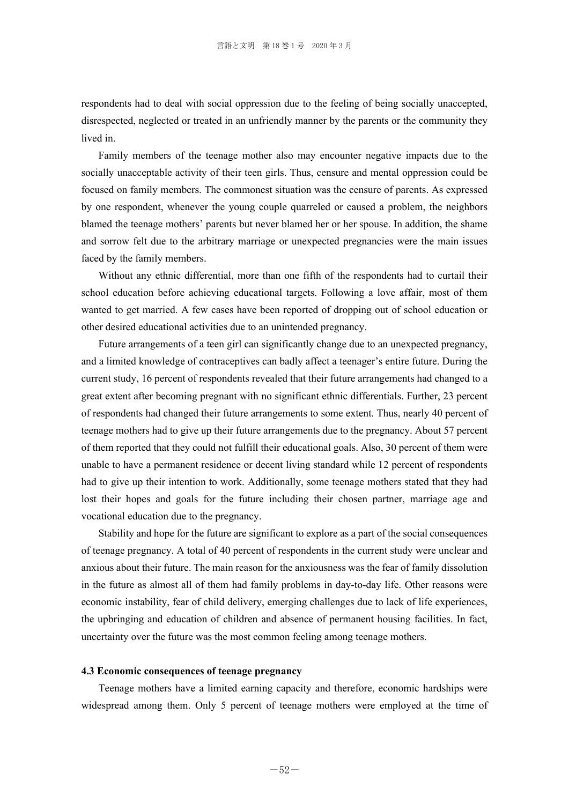respondents had to deal with social oppression due to the feeling of being socially unaccepted, disrespected, neglected or treated in an unfriendly manner by the parents or the community they lived in.

Family members of the teenage mother also may encounter negative impacts due to the socially unacceptable activity of their teen girls. Thus, censure and mental oppression could be focused on family members. The commonest situation was the censure of parents. As expressed by one respondent, whenever the young couple quarreled or caused a problem, the neighbors blamed the teenage mothers' parents but never blamed her or her spouse. In addition, the shame and sorrow felt due to the arbitrary marriage or unexpected pregnancies were the main issues faced by the family members.

Without any ethnic differential, more than one fifth of the respondents had to curtail their school education before achieving educational targets. Following a love affair, most of them wanted to get married. A few cases have been reported of dropping out of school education or other desired educational activities due to an unintended pregnancy.

Future arrangements of a teen girl can significantly change due to an unexpected pregnancy, and a limited knowledge of contraceptives can badly affect a teenager's entire future. During the current study, 16 percent of respondents revealed that their future arrangements had changed to a great extent after becoming pregnant with no significant ethnic differentials. Further, 23 percent of respondents had changed their future arrangements to some extent. Thus, nearly 40 percent of teenage mothers had to give up their future arrangements due to the pregnancy. About 57 percent of them reported that they could not fulfill their educational goals. Also, 30 percent of them were unable to have a permanent residence or decent living standard while 12 percent of respondents had to give up their intention to work. Additionally, some teenage mothers stated that they had lost their hopes and goals for the future including their chosen partner, marriage age and vocational education due to the pregnancy.

Stability and hope for the future are significant to explore as a part of the social consequences of teenage pregnancy. A total of 40 percent of respondents in the current study were unclear and anxious about their future. The main reason for the anxiousness was the fear of family dissolution in the future as almost all of them had family problems in day-to-day life. Other reasons were economic instability, fear of child delivery, emerging challenges due to lack of life experiences, the upbringing and education of children and absence of permanent housing facilities. In fact, uncertainty over the future was the most common feeling among teenage mothers.

#### **4.3 Economic consequences of teenage pregnancy**

Teenage mothers have a limited earning capacity and therefore, economic hardships were widespread among them. Only 5 percent of teenage mothers were employed at the time of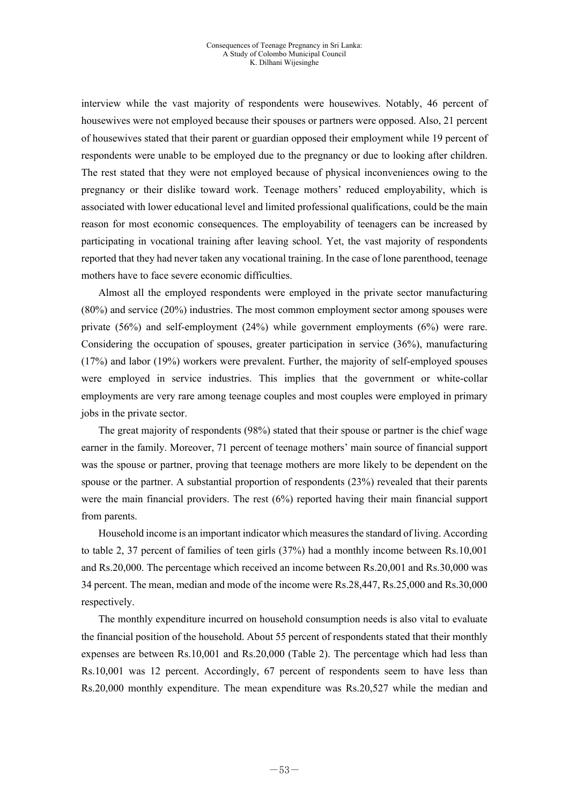interview while the vast majority of respondents were housewives. Notably, 46 percent of housewives were not employed because their spouses or partners were opposed. Also, 21 percent of housewives stated that their parent or guardian opposed their employment while 19 percent of respondents were unable to be employed due to the pregnancy or due to looking after children. The rest stated that they were not employed because of physical inconveniences owing to the pregnancy or their dislike toward work. Teenage mothers' reduced employability, which is associated with lower educational level and limited professional qualifications, could be the main reason for most economic consequences. The employability of teenagers can be increased by participating in vocational training after leaving school. Yet, the vast majority of respondents reported that they had never taken any vocational training. In the case of lone parenthood, teenage mothers have to face severe economic difficulties.

Almost all the employed respondents were employed in the private sector manufacturing (80%) and service (20%) industries. The most common employment sector among spouses were private (56%) and self-employment (24%) while government employments (6%) were rare. Considering the occupation of spouses, greater participation in service (36%), manufacturing (17%) and labor (19%) workers were prevalent. Further, the majority of self-employed spouses were employed in service industries. This implies that the government or white-collar employments are very rare among teenage couples and most couples were employed in primary jobs in the private sector.

The great majority of respondents (98%) stated that their spouse or partner is the chief wage earner in the family. Moreover, 71 percent of teenage mothers' main source of financial support was the spouse or partner, proving that teenage mothers are more likely to be dependent on the spouse or the partner. A substantial proportion of respondents (23%) revealed that their parents were the main financial providers. The rest  $(6%)$  reported having their main financial support from parents.

Household income is an important indicator which measures the standard of living. According to table 2, 37 percent of families of teen girls (37%) had a monthly income between Rs.10,001 and Rs.20,000. The percentage which received an income between Rs.20,001 and Rs.30,000 was 34 percent. The mean, median and mode of the income were Rs.28,447, Rs.25,000 and Rs.30,000 respectively.

The monthly expenditure incurred on household consumption needs is also vital to evaluate the financial position of the household. About 55 percent of respondents stated that their monthly expenses are between Rs.10,001 and Rs.20,000 (Table 2). The percentage which had less than Rs.10,001 was 12 percent. Accordingly, 67 percent of respondents seem to have less than Rs.20,000 monthly expenditure. The mean expenditure was Rs.20,527 while the median and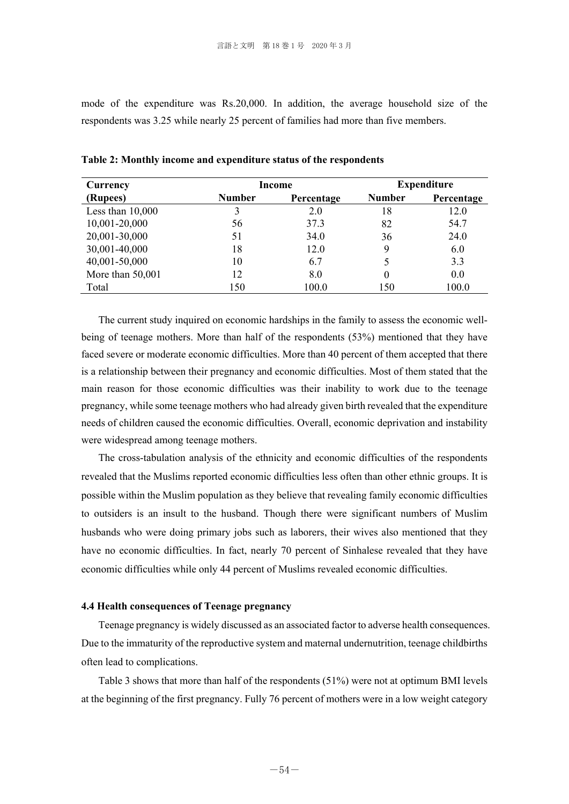mode of the expenditure was Rs.20,000. In addition, the average household size of the respondents was 3.25 while nearly 25 percent of families had more than five members.

| Currency           |               | Income     | <b>Expenditure</b> |            |  |
|--------------------|---------------|------------|--------------------|------------|--|
| (Rupees)           | <b>Number</b> | Percentage | <b>Number</b>      | Percentage |  |
| Less than $10,000$ | 3             | 2.0        | 18                 | 12.0       |  |
| 10,001-20,000      | 56            | 37.3       | 82                 | 54.7       |  |
| 20,001-30,000      | 51            | 34.0       | 36                 | 24.0       |  |
| 30,001-40,000      | 18            | 12.0       | 9                  | 6.0        |  |
| 40,001-50,000      | 10            | 6.7        | 5                  | 3.3        |  |
| More than 50,001   | 12            | 8.0        | 0                  | 0.0        |  |
| Total              | 150           | 100.0      | 150                | 100.0      |  |

**Table 2: Monthly income and expenditure status of the respondents** 

The current study inquired on economic hardships in the family to assess the economic wellbeing of teenage mothers. More than half of the respondents (53%) mentioned that they have faced severe or moderate economic difficulties. More than 40 percent of them accepted that there is a relationship between their pregnancy and economic difficulties. Most of them stated that the main reason for those economic difficulties was their inability to work due to the teenage pregnancy, while some teenage mothers who had already given birth revealed that the expenditure needs of children caused the economic difficulties. Overall, economic deprivation and instability were widespread among teenage mothers.

The cross-tabulation analysis of the ethnicity and economic difficulties of the respondents revealed that the Muslims reported economic difficulties less often than other ethnic groups. It is possible within the Muslim population as they believe that revealing family economic difficulties to outsiders is an insult to the husband. Though there were significant numbers of Muslim husbands who were doing primary jobs such as laborers, their wives also mentioned that they have no economic difficulties. In fact, nearly 70 percent of Sinhalese revealed that they have economic difficulties while only 44 percent of Muslims revealed economic difficulties.

#### **4.4 Health consequences of Teenage pregnancy**

Teenage pregnancy is widely discussed as an associated factor to adverse health consequences. Due to the immaturity of the reproductive system and maternal undernutrition, teenage childbirths often lead to complications.

Table 3 shows that more than half of the respondents (51%) were not at optimum BMI levels at the beginning of the first pregnancy. Fully 76 percent of mothers were in a low weight category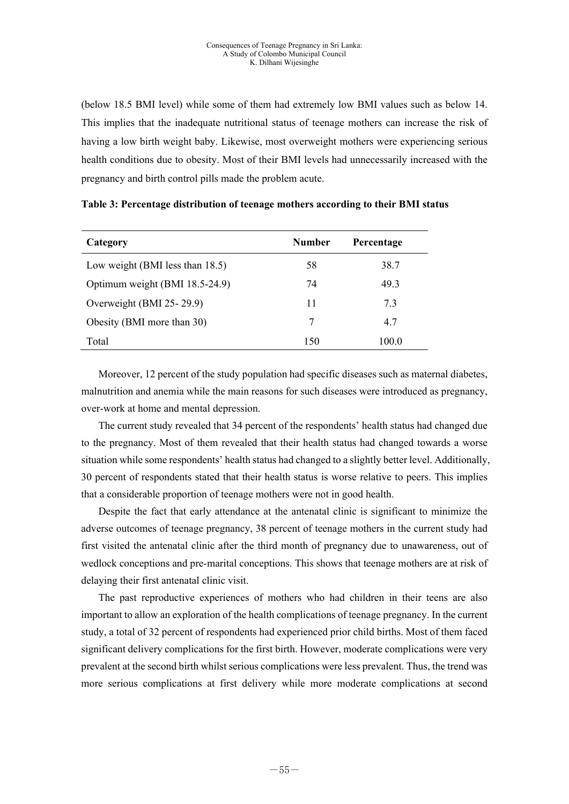(below 18.5 BMI level) while some of them had extremely low BMI values such as below 14. This implies that the inadequate nutritional status of teenage mothers can increase the risk of having a low birth weight baby. Likewise, most overweight mothers were experiencing serious health conditions due to obesity. Most of their BMI levels had unnecessarily increased with the pregnancy and birth control pills made the problem acute.

| Category                        | <b>Number</b> | Percentage |
|---------------------------------|---------------|------------|
| Low weight (BMI less than 18.5) | 58            | 38.7       |
| Optimum weight (BMI 18.5-24.9)  | 74            | 49.3       |
| Overweight (BMI 25-29.9)        | 11            | 7.3        |
| Obesity (BMI more than 30)      | 7             | 4.7        |
| Total                           | 150           | 100.0      |

|  |  | Table 3: Percentage distribution of teenage mothers according to their BMI status |  |
|--|--|-----------------------------------------------------------------------------------|--|
|  |  |                                                                                   |  |

Moreover, 12 percent of the study population had specific diseases such as maternal diabetes, malnutrition and anemia while the main reasons for such diseases were introduced as pregnancy, over-work at home and mental depression.

The current study revealed that 34 percent of the respondents' health status had changed due to the pregnancy. Most of them revealed that their health status had changed towards a worse situation while some respondents' health status had changed to a slightly better level. Additionally, 30 percent of respondents stated that their health status is worse relative to peers. This implies that a considerable proportion of teenage mothers were not in good health.

Despite the fact that early attendance at the antenatal clinic is significant to minimize the adverse outcomes of teenage pregnancy, 38 percent of teenage mothers in the current study had first visited the antenatal clinic after the third month of pregnancy due to unawareness, out of wedlock conceptions and pre-marital conceptions. This shows that teenage mothers are at risk of delaying their first antenatal clinic visit.

The past reproductive experiences of mothers who had children in their teens are also important to allow an exploration of the health complications of teenage pregnancy. In the current study, a total of 32 percent of respondents had experienced prior child births. Most of them faced significant delivery complications for the first birth. However, moderate complications were very prevalent at the second birth whilst serious complications were less prevalent. Thus, the trend was more serious complications at first delivery while more moderate complications at second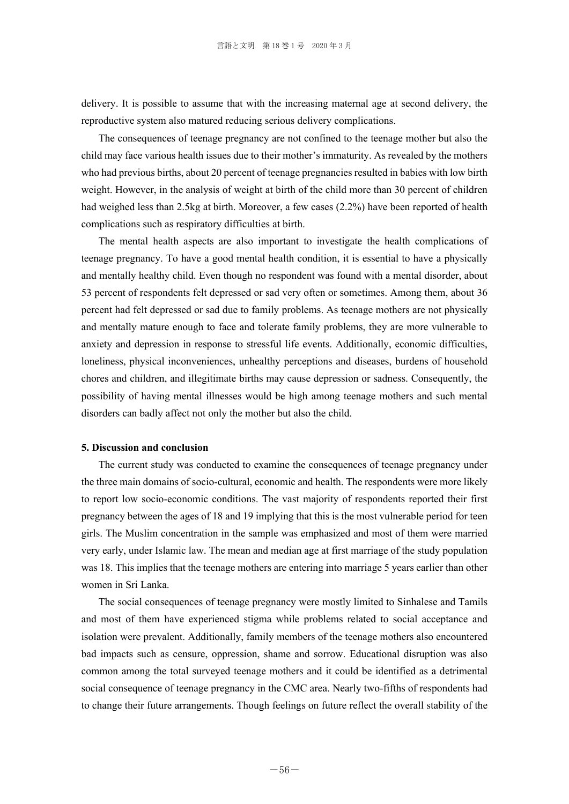delivery. It is possible to assume that with the increasing maternal age at second delivery, the reproductive system also matured reducing serious delivery complications.

The consequences of teenage pregnancy are not confined to the teenage mother but also the child may face various health issues due to their mother's immaturity. As revealed by the mothers who had previous births, about 20 percent of teenage pregnancies resulted in babies with low birth weight. However, in the analysis of weight at birth of the child more than 30 percent of children had weighed less than 2.5kg at birth. Moreover, a few cases (2.2%) have been reported of health complications such as respiratory difficulties at birth.

The mental health aspects are also important to investigate the health complications of teenage pregnancy. To have a good mental health condition, it is essential to have a physically and mentally healthy child. Even though no respondent was found with a mental disorder, about 53 percent of respondents felt depressed or sad very often or sometimes. Among them, about 36 percent had felt depressed or sad due to family problems. As teenage mothers are not physically and mentally mature enough to face and tolerate family problems, they are more vulnerable to anxiety and depression in response to stressful life events. Additionally, economic difficulties, loneliness, physical inconveniences, unhealthy perceptions and diseases, burdens of household chores and children, and illegitimate births may cause depression or sadness. Consequently, the possibility of having mental illnesses would be high among teenage mothers and such mental disorders can badly affect not only the mother but also the child.

#### **5. Discussion and conclusion**

The current study was conducted to examine the consequences of teenage pregnancy under the three main domains of socio-cultural, economic and health. The respondents were more likely to report low socio-economic conditions. The vast majority of respondents reported their first pregnancy between the ages of 18 and 19 implying that this is the most vulnerable period for teen girls. The Muslim concentration in the sample was emphasized and most of them were married very early, under Islamic law. The mean and median age at first marriage of the study population was 18. This implies that the teenage mothers are entering into marriage 5 years earlier than other women in Sri Lanka.

The social consequences of teenage pregnancy were mostly limited to Sinhalese and Tamils and most of them have experienced stigma while problems related to social acceptance and isolation were prevalent. Additionally, family members of the teenage mothers also encountered bad impacts such as censure, oppression, shame and sorrow. Educational disruption was also common among the total surveyed teenage mothers and it could be identified as a detrimental social consequence of teenage pregnancy in the CMC area. Nearly two-fifths of respondents had to change their future arrangements. Though feelings on future reflect the overall stability of the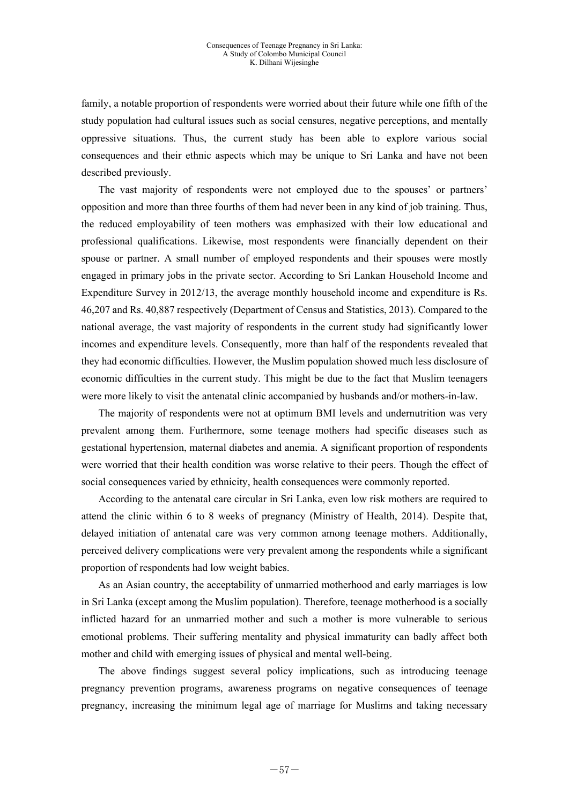family, a notable proportion of respondents were worried about their future while one fifth of the study population had cultural issues such as social censures, negative perceptions, and mentally oppressive situations. Thus, the current study has been able to explore various social consequences and their ethnic aspects which may be unique to Sri Lanka and have not been described previously.

The vast majority of respondents were not employed due to the spouses' or partners' opposition and more than three fourths of them had never been in any kind of job training. Thus, the reduced employability of teen mothers was emphasized with their low educational and professional qualifications. Likewise, most respondents were financially dependent on their spouse or partner. A small number of employed respondents and their spouses were mostly engaged in primary jobs in the private sector. According to Sri Lankan Household Income and Expenditure Survey in 2012/13, the average monthly household income and expenditure is Rs. 46,207 and Rs. 40,887 respectively (Department of Census and Statistics, 2013). Compared to the national average, the vast majority of respondents in the current study had significantly lower incomes and expenditure levels. Consequently, more than half of the respondents revealed that they had economic difficulties. However, the Muslim population showed much less disclosure of economic difficulties in the current study. This might be due to the fact that Muslim teenagers were more likely to visit the antenatal clinic accompanied by husbands and/or mothers-in-law.

The majority of respondents were not at optimum BMI levels and undernutrition was very prevalent among them. Furthermore, some teenage mothers had specific diseases such as gestational hypertension, maternal diabetes and anemia. A significant proportion of respondents were worried that their health condition was worse relative to their peers. Though the effect of social consequences varied by ethnicity, health consequences were commonly reported.

According to the antenatal care circular in Sri Lanka, even low risk mothers are required to attend the clinic within 6 to 8 weeks of pregnancy (Ministry of Health, 2014). Despite that, delayed initiation of antenatal care was very common among teenage mothers. Additionally, perceived delivery complications were very prevalent among the respondents while a significant proportion of respondents had low weight babies.

As an Asian country, the acceptability of unmarried motherhood and early marriages is low in Sri Lanka (except among the Muslim population). Therefore, teenage motherhood is a socially inflicted hazard for an unmarried mother and such a mother is more vulnerable to serious emotional problems. Their suffering mentality and physical immaturity can badly affect both mother and child with emerging issues of physical and mental well-being.

The above findings suggest several policy implications, such as introducing teenage pregnancy prevention programs, awareness programs on negative consequences of teenage pregnancy, increasing the minimum legal age of marriage for Muslims and taking necessary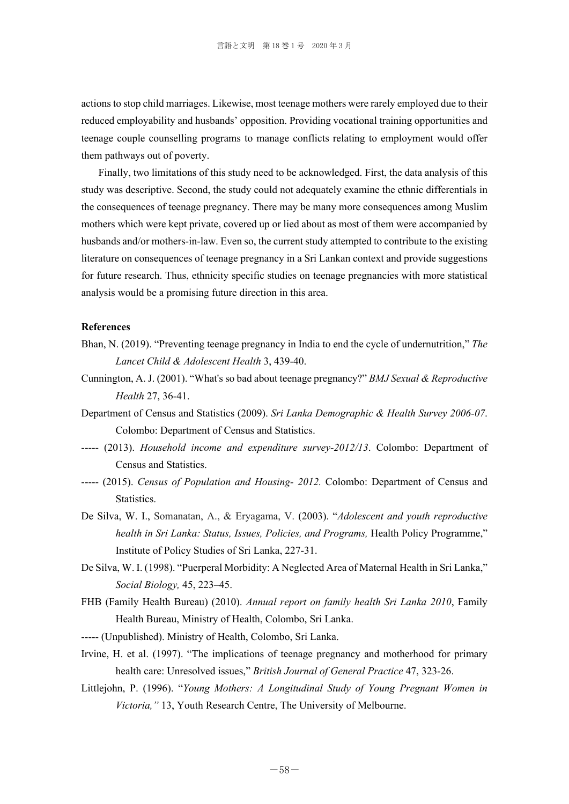actions to stop child marriages. Likewise, most teenage mothers were rarely employed due to their reduced employability and husbands' opposition. Providing vocational training opportunities and teenage couple counselling programs to manage conflicts relating to employment would offer them pathways out of poverty.

Finally, two limitations of this study need to be acknowledged. First, the data analysis of this study was descriptive. Second, the study could not adequately examine the ethnic differentials in the consequences of teenage pregnancy. There may be many more consequences among Muslim mothers which were kept private, covered up or lied about as most of them were accompanied by husbands and/or mothers-in-law. Even so, the current study attempted to contribute to the existing literature on consequences of teenage pregnancy in a Sri Lankan context and provide suggestions for future research. Thus, ethnicity specific studies on teenage pregnancies with more statistical analysis would be a promising future direction in this area.

#### **References**

- Bhan, N. (2019). "Preventing teenage pregnancy in India to end the cycle of undernutrition," *The Lancet Child & Adolescent Health* 3, 439-40.
- Cunnington, A. J. (2001). "What's so bad about teenage pregnancy?" *BMJ Sexual & Reproductive Health* 27, 36-41.
- Department of Census and Statistics (2009). *Sri Lanka Demographic & Health Survey 2006-07*. Colombo: Department of Census and Statistics.
- ----- (2013). *Household income and expenditure survey-2012/13*. Colombo: Department of Census and Statistics.
- ----- (2015). *Census of Population and Housing- 2012.* Colombo: Department of Census and Statistics.
- De Silva, W. I., Somanatan, A., & Eryagama, V. (2003). "*Adolescent and youth reproductive health in Sri Lanka: Status, Issues, Policies, and Programs,* Health Policy Programme," Institute of Policy Studies of Sri Lanka, 227-31.
- De Silva, W. I. (1998). "Puerperal Morbidity: A Neglected Area of Maternal Health in Sri Lanka," *Social Biology,* 45, 223–45.
- FHB (Family Health Bureau) (2010). *Annual report on family health Sri Lanka 2010*, Family Health Bureau, Ministry of Health, Colombo, Sri Lanka.
- ----- (Unpublished). Ministry of Health, Colombo, Sri Lanka.
- Irvine, H. et al. (1997). "The implications of teenage pregnancy and motherhood for primary health care: Unresolved issues," *British Journal of General Practice* 47, 323-26.
- Littlejohn, P. (1996). "*Young Mothers: A Longitudinal Study of Young Pregnant Women in Victoria,"* 13, Youth Research Centre, The University of Melbourne.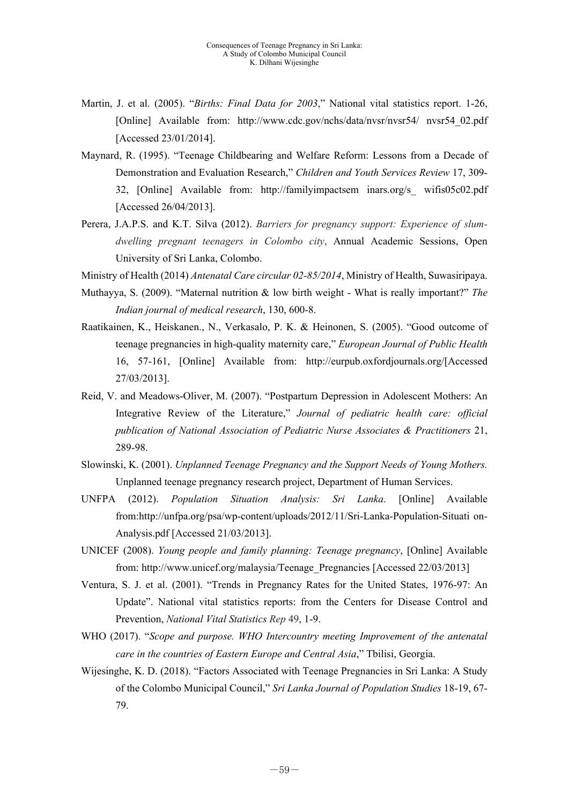- Martin, J. et al. (2005). "*Births: Final Data for 2003*," National vital statistics report. 1-26, [Online] Available from: http://www.cdc.gov/nchs/data/nvsr/nvsr54/ nvsr54\_02.pdf [Accessed 23/01/2014].
- Maynard, R. (1995). "Teenage Childbearing and Welfare Reform: Lessons from a Decade of Demonstration and Evaluation Research," *Children and Youth Services Review* 17, 309- 32, [Online] Available from: http://familyimpactsem inars.org/s\_ wifis05c02.pdf [Accessed 26/04/2013].
- Perera, J.A.P.S. and K.T. Silva (2012). *Barriers for pregnancy support: Experience of slumdwelling pregnant teenagers in Colombo city*, Annual Academic Sessions, Open University of Sri Lanka, Colombo.
- Ministry of Health (2014) *Antenatal Care circular 02-85/2014*, Ministry of Health, Suwasiripaya.
- Muthayya, S. (2009). "Maternal nutrition & low birth weight What is really important?" *The Indian journal of medical research*, 130, 600-8.
- Raatikainen, K., Heiskanen., N., Verkasalo, P. K. & Heinonen, S. (2005). "Good outcome of teenage pregnancies in high-quality maternity care," *European Journal of Public Health* 16, 57-161, [Online] Available from: http://eurpub.oxfordjournals.org/[Accessed 27/03/2013].
- Reid, V. and Meadows-Oliver, M. (2007). "Postpartum Depression in Adolescent Mothers: An Integrative Review of the Literature," *Journal of pediatric health care: official publication of National Association of Pediatric Nurse Associates & Practitioners* 21, 289-98.
- Slowinski, K. (2001). *Unplanned Teenage Pregnancy and the Support Needs of Young Mothers.*  Unplanned teenage pregnancy research project, Department of Human Services.
- UNFPA (2012). *Population Situation Analysis: Sri Lanka*. [Online] Available from:http://unfpa.org/psa/wp-content/uploads/2012/11/Sri-Lanka-Population-Situati on-Analysis.pdf [Accessed 21/03/2013].
- UNICEF (2008). *Young people and family planning: Teenage pregnancy*, [Online] Available from: http://www.unicef.org/malaysia/Teenage\_Pregnancies [Accessed 22/03/2013]
- Ventura, S. J. et al. (2001). "Trends in Pregnancy Rates for the United States, 1976-97: An Update". National vital statistics reports: from the Centers for Disease Control and Prevention, *National Vital Statistics Rep* 49, 1-9.
- WHO (2017). "*Scope and purpose. WHO Intercountry meeting Improvement of the antenatal care in the countries of Eastern Europe and Central Asia*," Tbilisi, Georgia.
- Wijesinghe, K. D. (2018). "Factors Associated with Teenage Pregnancies in Sri Lanka: A Study of the Colombo Municipal Council," *Sri Lanka Journal of Population Studies* 18-19, 67- 79.